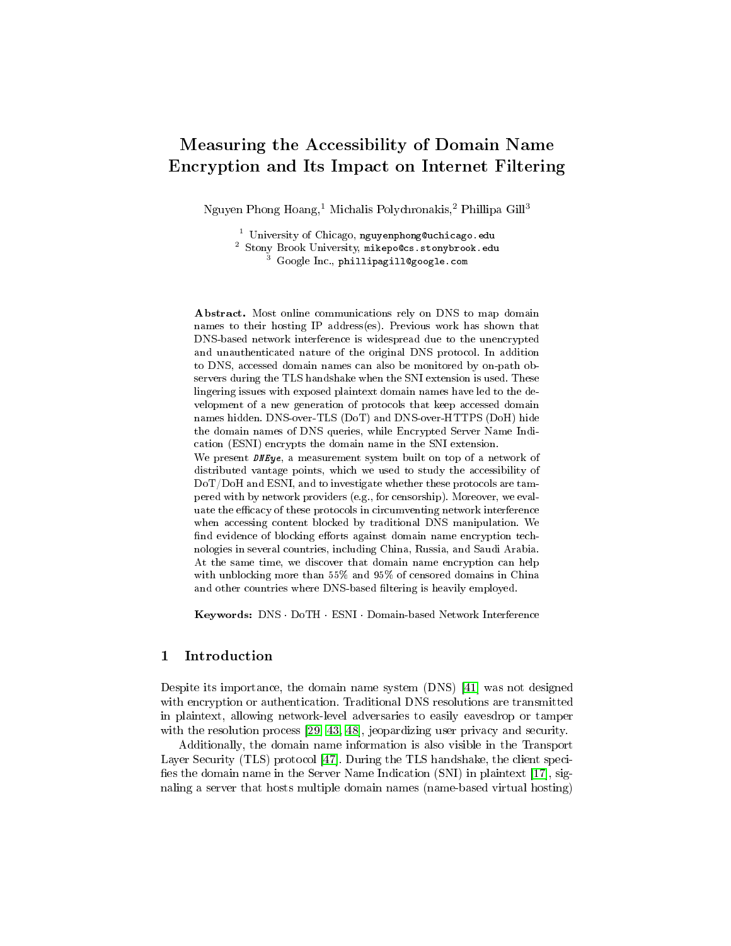# Measuring the Accessibility of Domain Name Encryption and Its Impact on Internet Filtering

Nguyen Phong Hoang,<sup>1</sup> Michalis Polychronakis,<sup>2</sup> Phillipa Gill<sup>3</sup>

 $^3$   $\rm Google$   $\rm Inc.,$   $\rm phillipagill@google.com$ 

Abstract. Most online communications rely on DNS to map domain names to their hosting IP address(es). Previous work has shown that DNS-based network interference is widespread due to the unencrypted and unauthenticated nature of the original DNS protocol. In addition to DNS, accessed domain names can also be monitored by on-path observers during the TLS handshake when the SNI extension is used. These lingering issues with exposed plaintext domain names have led to the development of a new generation of protocols that keep accessed domain names hidden. DNS-over-TLS (DoT) and DNS-over-HTTPS (DoH) hide the domain names of DNS queries, while Encrypted Server Name Indication (ESNI) encrypts the domain name in the SNI extension. We present *DNEye*, a measurement system built on top of a network of distributed vantage points, which we used to study the accessibility of DoT/DoH and ESNI, and to investigate whether these protocols are tampered with by network providers (e.g., for censorship). Moreover, we evaluate the efficacy of these protocols in circumventing network interference when accessing content blocked by traditional DNS manipulation. We find evidence of blocking efforts against domain name encryption technologies in several countries, including China, Russia, and Saudi Arabia. At the same time, we discover that domain name encryption can help with unblocking more than 55% and 95% of censored domains in China and other countries where DNS-based filtering is heavily employed.

Keywords: DNS · DoTH · ESNI · Domain-based Network Interference

# 1 Introduction

Despite its importance, the domain name system (DNS) [\[41\]](#page-14-0) was not designed with encryption or authentication. Traditional DNS resolutions are transmitted in plaintext, allowing network-level adversaries to easily eavesdrop or tamper with the resolution process [\[29,](#page-13-0) [43,](#page-14-1) [48\]](#page-14-2), jeopardizing user privacy and security.

Additionally, the domain name information is also visible in the Transport Layer Security (TLS) protocol [\[47\]](#page-14-3). During the TLS handshake, the client speci fies the domain name in the Server Name Indication (SNI) in plaintext  $[17]$ , signaling a server that hosts multiple domain names (name-based virtual hosting)

<sup>1</sup> University of Chicago, nguyenphong@uchicago.edu  $^2$  Stony Brook University, mikepo@cs.stonybrook.edu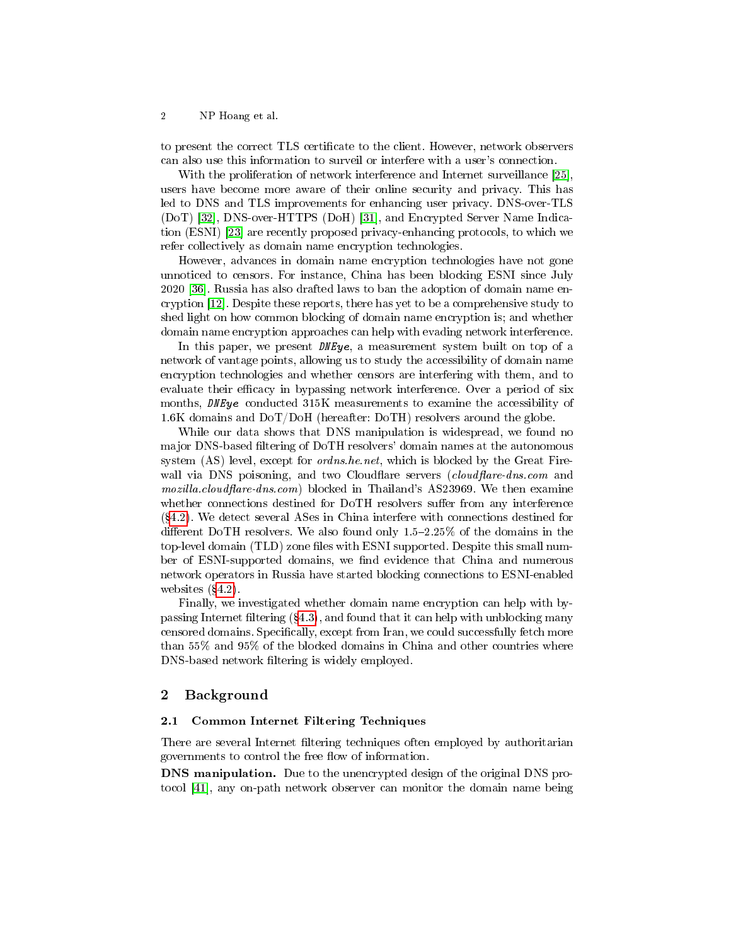to present the correct TLS certificate to the client. However, network observers can also use this information to surveil or interfere with a user's connection.

With the proliferation of network interference and Internet surveillance [\[25\]](#page-13-2), users have become more aware of their online security and privacy. This has led to DNS and TLS improvements for enhancing user privacy. DNS-over-TLS (DoT) [\[32\]](#page-13-3), DNS-over-HTTPS (DoH) [\[31\]](#page-13-4), and Encrypted Server Name Indication (ESNI) [\[23\]](#page-13-5) are recently proposed privacy-enhancing protocols, to which we refer collectively as domain name encryption technologies.

However, advances in domain name encryption technologies have not gone unnoticed to censors. For instance, China has been blocking ESNI since July 2020 [\[36\]](#page-13-6). Russia has also drafted laws to ban the adoption of domain name encryption [\[12\]](#page-13-7). Despite these reports, there has yet to be a comprehensive study to shed light on how common blocking of domain name encryption is; and whether domain name encryption approaches can help with evading network interference.

In this paper, we present  $DNEye$ , a measurement system built on top of a network of vantage points, allowing us to study the accessibility of domain name encryption technologies and whether censors are interfering with them, and to evaluate their efficacy in bypassing network interference. Over a period of six months, DNEye conducted 315K measurements to examine the accessibility of 1.6K domains and DoT/DoH (hereafter: DoTH) resolvers around the globe.

While our data shows that DNS manipulation is widespread, we found no major DNS-based filtering of DoTH resolvers' domain names at the autonomous system (AS) level, except for *ordns.he.net*, which is blocked by the Great Firewall via DNS poisoning, and two Cloudflare servers  $(cloudflare-dns.com$  and  $mozilla$ .cloudflare-dns.com) blocked in Thailand's AS23969. We then examine whether connections destined for DoTH resolvers suffer from any interference ([4.2\)](#page-7-0). We detect several ASes in China interfere with connections destined for different DoTH resolvers. We also found only  $1.5-2.25\%$  of the domains in the top-level domain (TLD) zone files with ESNI supported. Despite this small number of ESNI-supported domains, we find evidence that China and numerous network operators in Russia have started blocking connections to ESNI-enabled websites  $(\S4.2)$  $(\S4.2)$ .

Finally, we investigated whether domain name encryption can help with bypassing Internet filtering  $(84.3)$  $(84.3)$ , and found that it can help with unblocking many censored domains. Specifically, except from Iran, we could successfully fetch more than 55% and 95% of the blocked domains in China and other countries where DNS-based network filtering is widely employed.

### 2 Background

#### <span id="page-1-0"></span>2.1 Common Internet Filtering Techniques

There are several Internet filtering techniques often employed by authoritarian governments to control the free flow of information.

DNS manipulation. Due to the unencrypted design of the original DNS protocol [\[41\]](#page-14-0), any on-path network observer can monitor the domain name being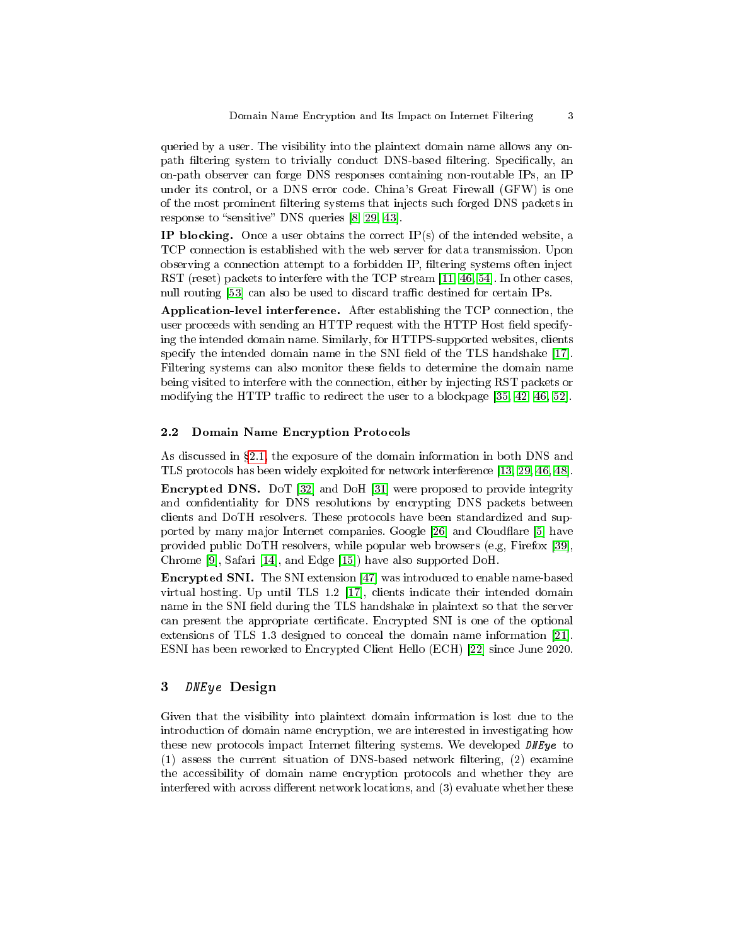queried by a user. The visibility into the plaintext domain name allows any onpath filtering system to trivially conduct DNS-based filtering. Specifically, an on-path observer can forge DNS responses containing non-routable IPs, an IP under its control, or a DNS error code. China's Great Firewall (GFW) is one of the most prominent filtering systems that injects such forged DNS packets in response to "sensitive" DNS queries  $[8, 29, 43]$  $[8, 29, 43]$  $[8, 29, 43]$ .

IP blocking. Once a user obtains the correct  $IP(s)$  of the intended website, a TCP connection is established with the web server for data transmission. Upon observing a connection attempt to a forbidden IP, filtering systems often inject RST (reset) packets to interfere with the TCP stream [\[11,](#page-13-9) [46,](#page-14-4) [54\]](#page-14-5). In other cases, null routing [\[53\]](#page-14-6) can also be used to discard traffic destined for certain IPs.

Application-level interference. After establishing the TCP connection, the user proceeds with sending an HTTP request with the HTTP Host field specifying the intended domain name. Similarly, for HTTPS-supported websites, clients specify the intended domain name in the SNI field of the TLS handshake [\[17\]](#page-13-1). Filtering systems can also monitor these fields to determine the domain name being visited to interfere with the connection, either by injecting RST packets or modifying the HTTP traffic to redirect the user to a blockpage  $[35, 42, 46, 52]$  $[35, 42, 46, 52]$  $[35, 42, 46, 52]$  $[35, 42, 46, 52]$ .

#### 2.2 Domain Name Encryption Protocols

As discussed in  $\S 2.1$ , the exposure of the domain information in both DNS and TLS protocols has been widely exploited for network interference [\[13,](#page-13-11) [29,](#page-13-0) [46,](#page-14-4) [48\]](#page-14-2).

Encrypted DNS. DoT [\[32\]](#page-13-3) and DoH [\[31\]](#page-13-4) were proposed to provide integrity and confidentiality for DNS resolutions by encrypting DNS packets between clients and DoTH resolvers. These protocols have been standardized and sup-ported by many major Internet companies. Google [\[26\]](#page-13-12) and Cloudflare [\[5\]](#page-13-13) have provided public DoTH resolvers, while popular web browsers (e.g, Firefox [\[39\]](#page-14-9), Chrome [\[9\]](#page-13-14), Safari [\[14\]](#page-13-15), and Edge [\[15\]](#page-13-16)) have also supported DoH.

Encrypted SNI. The SNI extension [\[47\]](#page-14-3) was introduced to enable name-based virtual hosting. Up until TLS 1.2 [\[17\]](#page-13-1), clients indicate their intended domain name in the SNI field during the TLS handshake in plaintext so that the server can present the appropriate certificate. Encrypted SNI is one of the optional extensions of TLS 1.3 designed to conceal the domain name information [\[21\]](#page-13-17). ESNI has been reworked to Encrypted Client Hello (ECH) [\[22\]](#page-13-18) since June 2020.

# 3 DNEye Design

Given that the visibility into plaintext domain information is lost due to the introduction of domain name encryption, we are interested in investigating how these new protocols impact Internet filtering systems. We developed DNEye to  $(1)$  assess the current situation of DNS-based network filtering,  $(2)$  examine the accessibility of domain name encryption protocols and whether they are interfered with across different network locations, and  $(3)$  evaluate whether these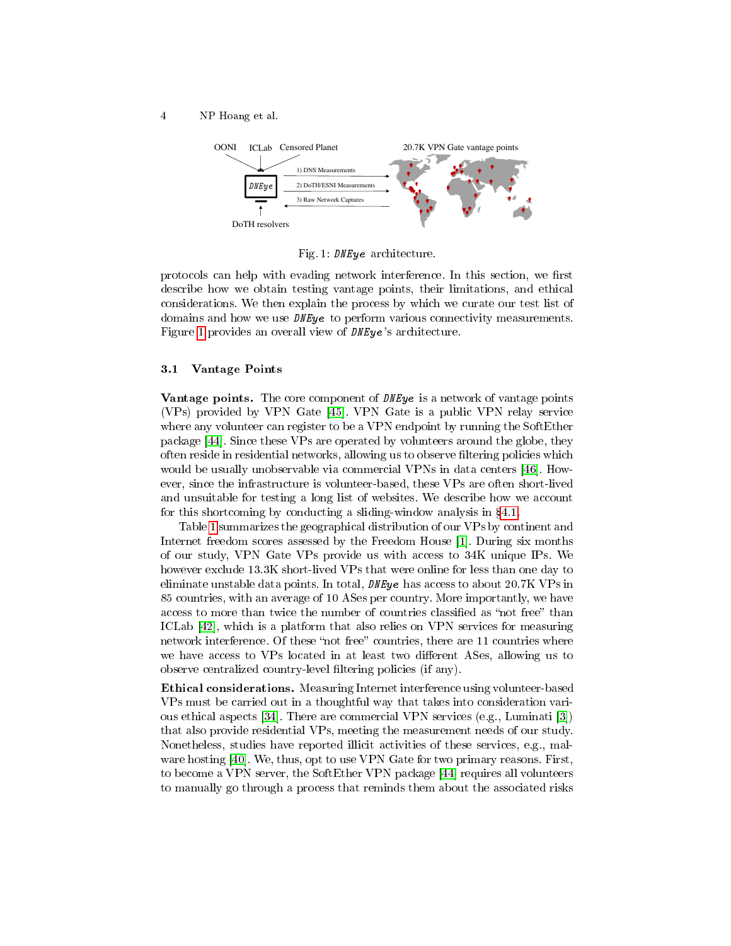<span id="page-3-0"></span>4 NP Hoang et al.



Fig. 1: DNEye architecture.

protocols can help with evading network interference. In this section, we first describe how we obtain testing vantage points, their limitations, and ethical considerations. We then explain the process by which we curate our test list of domains and how we use  $D$ *NE* $\nu$ e to perform various connectivity measurements. Figure [1](#page-3-0) provides an overall view of DNEye 's architecture.

#### 3.1 Vantage Points

**Vantage points.** The core component of *DNEye* is a network of vantage points (VPs) provided by VPN Gate [\[45\]](#page-14-10). VPN Gate is a public VPN relay service where any volunteer can register to be a VPN endpoint by running the SoftEther package [\[44\]](#page-14-11). Since these VPs are operated by volunteers around the globe, they often reside in residential networks, allowing us to observe filtering policies which would be usually unobservable via commercial VPNs in data centers [\[46\]](#page-14-4). However, since the infrastructure is volunteer-based, these VPs are often short-lived and unsuitable for testing a long list of websites. We describe how we account for this shortcoming by conducting a sliding-window analysis in  $\S 4.1$ .

Table [1](#page-4-0) summarizes the geographical distribution of our VPs by continent and Internet freedom scores assessed by the Freedom House [\[1\]](#page-13-19). During six months of our study, VPN Gate VPs provide us with access to 34K unique IPs. We however exclude 13.3K short-lived VPs that were online for less than one day to eliminate unstable data points. In total, DNEye has access to about 20.7K VPs in 85 countries, with an average of 10 ASes per country. More importantly, we have access to more than twice the number of countries classified as "not free" than ICLab [\[42\]](#page-14-7), which is a platform that also relies on VPN services for measuring network interference. Of these "not free" countries, there are 11 countries where we have access to VPs located in at least two different ASes, allowing us to observe centralized country-level filtering policies (if any).

Ethical considerations. Measuring Internet interference using volunteer-based VPs must be carried out in a thoughtful way that takes into consideration various ethical aspects [\[34\]](#page-13-20). There are commercial VPN services (e.g., Luminati [\[3\]](#page-13-21)) that also provide residential VPs, meeting the measurement needs of our study. Nonetheless, studies have reported illicit activities of these services, e.g., malware hosting [\[40\]](#page-14-12). We, thus, opt to use VPN Gate for two primary reasons. First, to become a VPN server, the SoftEther VPN package [\[44\]](#page-14-11) requires all volunteers to manually go through a process that reminds them about the associated risks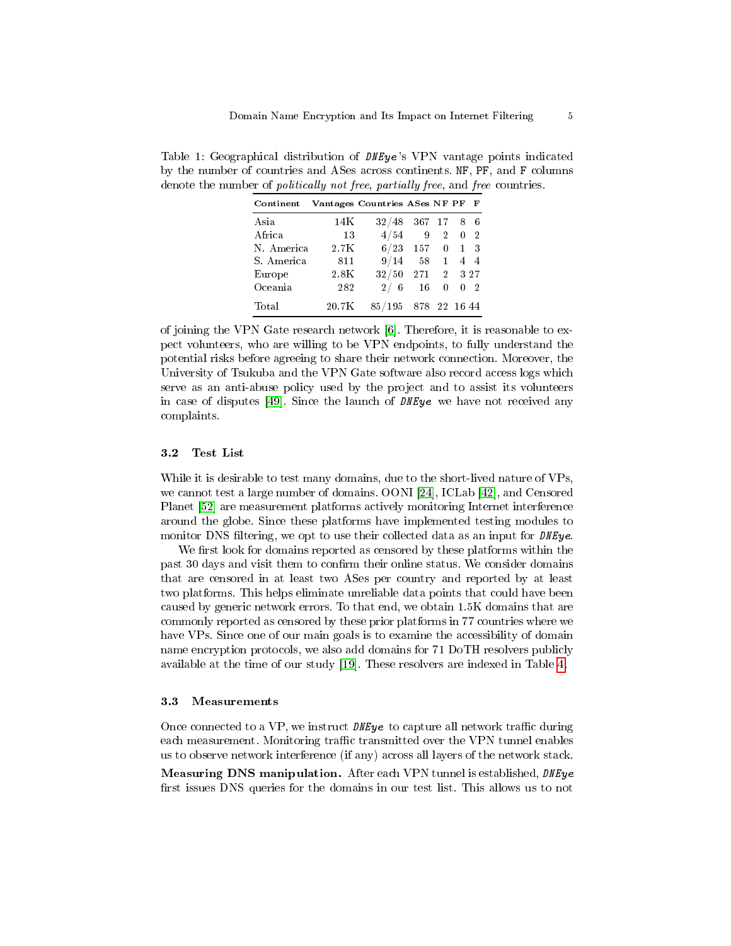| Continent  |                  | Vantages Countries ASes NF PF F |                |                            |                |              |
|------------|------------------|---------------------------------|----------------|----------------------------|----------------|--------------|
| Asia       | 14K              | 32/48                           | 367 17 8 6     |                            |                |              |
| Africa     | 13               | 4/54                            | $\overline{9}$ | $\overline{\phantom{a}}^2$ | $\overline{0}$ | $^{\circ}$ 2 |
| N. America | 2.7K             |                                 | $6/23$ 157     | $\overline{\mathbf{0}}$    | $\mathbf{1}$   | - 3          |
| S. America | 811              | 9/14                            | 58             | 1                          |                | 4 4          |
| Europe     | 2.8K             | $32/50$ 271 2 327               |                |                            |                |              |
| Oceania    | 282              | 2/6                             | 16             | 0                          | 0              | $\mathbf{2}$ |
| Total      | $20.7\mathrm{K}$ | 85/195                          | 878 22 16 44   |                            |                |              |

<span id="page-4-0"></span>Table 1: Geographical distribution of DNEye's VPN vantage points indicated by the number of countries and ASes across continents. NF, PF, and F columns denote the number of *politically not free, partially free, and free countries.* 

of joining the VPN Gate research network [\[6\]](#page-13-22). Therefore, it is reasonable to expect volunteers, who are willing to be VPN endpoints, to fully understand the potential risks before agreeing to share their network connection. Moreover, the University of Tsukuba and the VPN Gate software also record access logs which serve as an anti-abuse policy used by the project and to assist its volunteers in case of disputes [\[49\]](#page-14-13). Since the launch of DNEye we have not received any complaints.

#### <span id="page-4-2"></span>3.2 Test List

While it is desirable to test many domains, due to the short-lived nature of VPs, we cannot test a large number of domains. OONI [\[24\]](#page-13-23), ICLab [\[42\]](#page-14-7), and Censored Planet [\[52\]](#page-14-8) are measurement platforms actively monitoring Internet interference around the globe. Since these platforms have implemented testing modules to monitor DNS filtering, we opt to use their collected data as an input for  $D \textit{NEy}$ e.

We first look for domains reported as censored by these platforms within the past 30 days and visit them to confirm their online status. We consider domains that are censored in at least two ASes per country and reported by at least two platforms. This helps eliminate unreliable data points that could have been caused by generic network errors. To that end, we obtain 1.5K domains that are commonly reported as censored by these prior platforms in 77 countries where we have VPs. Since one of our main goals is to examine the accessibility of domain name encryption protocols, we also add domains for 71 DoTH resolvers publicly available at the time of our study [\[19\]](#page-13-24). These resolvers are indexed in Table [4.](#page-15-0)

#### <span id="page-4-1"></span>3.3 Measurements

Once connected to a VP, we instruct  $DNEye$  to capture all network traffic during each measurement. Monitoring traffic transmitted over the VPN tunnel enables us to observe network interference (if any) across all layers of the network stack.

Measuring DNS manipulation. After each VPN tunnel is established, DNEye first issues DNS queries for the domains in our test list. This allows us to not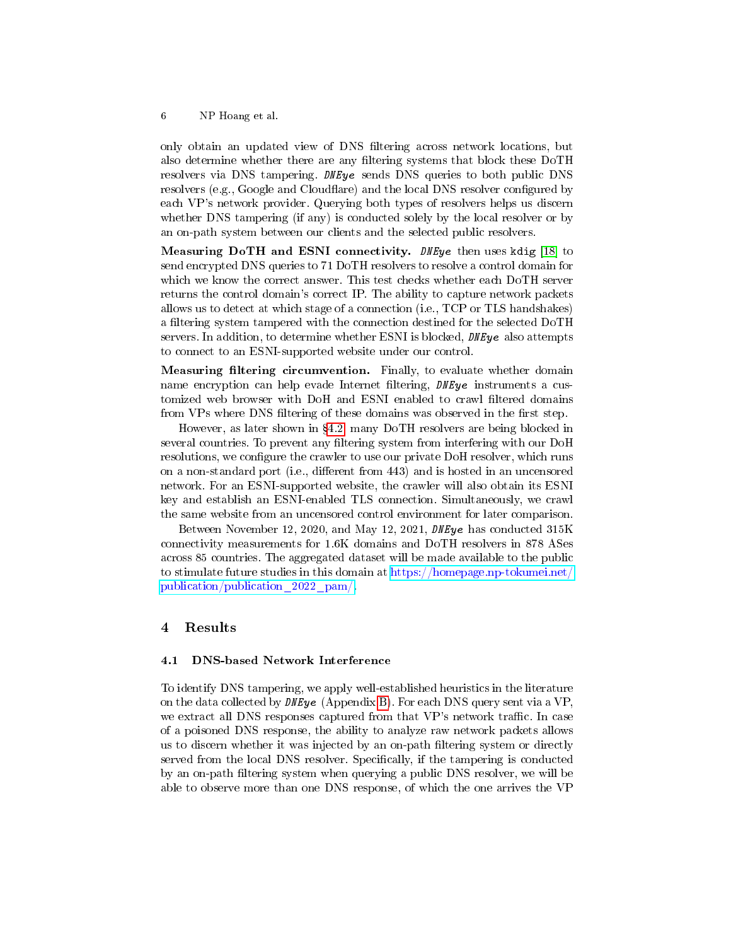only obtain an updated view of DNS filtering across network locations, but also determine whether there are any filtering systems that block these DoTH resolvers via DNS tampering. DNEye sends DNS queries to both public DNS resolvers (e.g., Google and Cloudflare) and the local DNS resolver configured by each VP's network provider. Querying both types of resolvers helps us discern whether DNS tampering (if any) is conducted solely by the local resolver or by an on-path system between our clients and the selected public resolvers.

Measuring DoTH and ESNI connectivity. DNEye then uses kdig [\[18\]](#page-13-25) to send encrypted DNS queries to 71 DoTH resolvers to resolve a control domain for which we know the correct answer. This test checks whether each DoTH server returns the control domain's correct IP. The ability to capture network packets allows us to detect at which stage of a connection (i.e., TCP or TLS handshakes) a filtering system tampered with the connection destined for the selected DoTH servers. In addition, to determine whether ESNI is blocked, *DNEye* also attempts to connect to an ESNI-supported website under our control.

Measuring filtering circumvention. Finally, to evaluate whether domain name encryption can help evade Internet filtering, DNEye instruments a customized web browser with DoH and ESNI enabled to crawl filtered domains from VPs where DNS filtering of these domains was observed in the first step.

However, as later shown in [4.2,](#page-7-0) many DoTH resolvers are being blocked in several countries. To prevent any filtering system from interfering with our DoH resolutions, we configure the crawler to use our private DoH resolver, which runs on a non-standard port (i.e., different from 443) and is hosted in an uncensored network. For an ESNI-supported website, the crawler will also obtain its ESNI key and establish an ESNI-enabled TLS connection. Simultaneously, we crawl the same website from an uncensored control environment for later comparison.

Between November 12, 2020, and May 12, 2021, DNEye has conducted 315K connectivity measurements for 1.6K domains and DoTH resolvers in 878 ASes across 85 countries. The aggregated dataset will be made available to the public to stimulate future studies in this domain at [https://homepage.np-tokumei.net/](https://homepage.np-tokumei.net/publication/publication_2022_pam/) [publication/publication\\_2022\\_pam/.](https://homepage.np-tokumei.net/publication/publication_2022_pam/)

### 4 Results

#### <span id="page-5-0"></span>4.1 DNS-based Network Interference

To identify DNS tampering, we apply well-established heuristics in the literature on the data collected by  $\textit{DNEye}$  (Appendix [B\)](#page-14-14). For each DNS query sent via a VP, we extract all DNS responses captured from that VP's network traffic. In case of a poisoned DNS response, the ability to analyze raw network packets allows us to discern whether it was injected by an on-path filtering system or directly served from the local DNS resolver. Specifically, if the tampering is conducted by an on-path filtering system when querying a public DNS resolver, we will be able to observe more than one DNS response, of which the one arrives the VP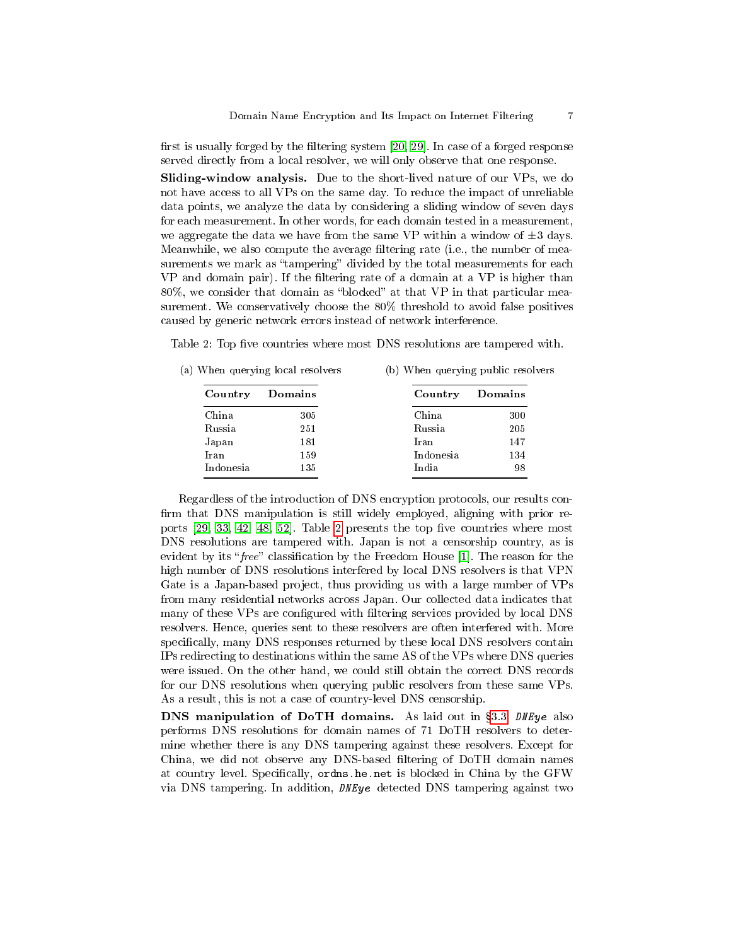first is usually forged by the filtering system  $[20, 29]$  $[20, 29]$ . In case of a forged response served directly from a local resolver, we will only observe that one response.

Sliding-window analysis. Due to the short-lived nature of our VPs, we do not have access to all VPs on the same day. To reduce the impact of unreliable data points, we analyze the data by considering a sliding window of seven days for each measurement. In other words, for each domain tested in a measurement, we aggregate the data we have from the same VP within a window of  $\pm 3$  days. Meanwhile, we also compute the average filtering rate (i.e., the number of measurements we mark as "tampering" divided by the total measurements for each VP and domain pair). If the filtering rate of a domain at a VP is higher than  $80\%$ , we consider that domain as "blocked" at that VP in that particular measurement. We conservatively choose the 80% threshold to avoid false positives caused by generic network errors instead of network interference.

<span id="page-6-0"></span>Table 2: Top five countries where most DNS resolutions are tampered with.

(a) When querying local resolvers Country Domains China 305 Russia 251 Japan 181 Iran 159 Indonesia 135 (b) When querying public resolvers Country Domains China 300 Russia 205 Iran 147 Indonesia 134 India 98

Regardless of the introduction of DNS encryption protocols, our results con firm that DNS manipulation is still widely employed, aligning with prior reports  $[29, 33, 42, 48, 52]$  $[29, 33, 42, 48, 52]$  $[29, 33, 42, 48, 52]$  $[29, 33, 42, 48, 52]$  $[29, 33, 42, 48, 52]$ . Table [2](#page-6-0) presents the top five countries where most DNS resolutions are tampered with. Japan is not a censorship country, as is evident by its "free" classification by the Freedom House  $[1]$ . The reason for the high number of DNS resolutions interfered by local DNS resolvers is that VPN Gate is a Japan-based project, thus providing us with a large number of VPs from many residential networks across Japan. Our collected data indicates that many of these VPs are configured with filtering services provided by local DNS resolvers. Hence, queries sent to these resolvers are often interfered with. More specifically, many DNS responses returned by these local DNS resolvers contain IPs redirecting to destinations within the same AS of the VPs where DNS queries were issued. On the other hand, we could still obtain the correct DNS records for our DNS resolutions when querying public resolvers from these same VPs. As a result, this is not a case of country-level DNS censorship.

DNS manipulation of DoTH domains. As laid out in §[3.3,](#page-4-1) DNEye also performs DNS resolutions for domain names of 71 DoTH resolvers to determine whether there is any DNS tampering against these resolvers. Except for China, we did not observe any DNS-based filtering of DoTH domain names at country level. Specifically, ordns.he.net is blocked in China by the GFW via DNS tampering. In addition, DNEye detected DNS tampering against two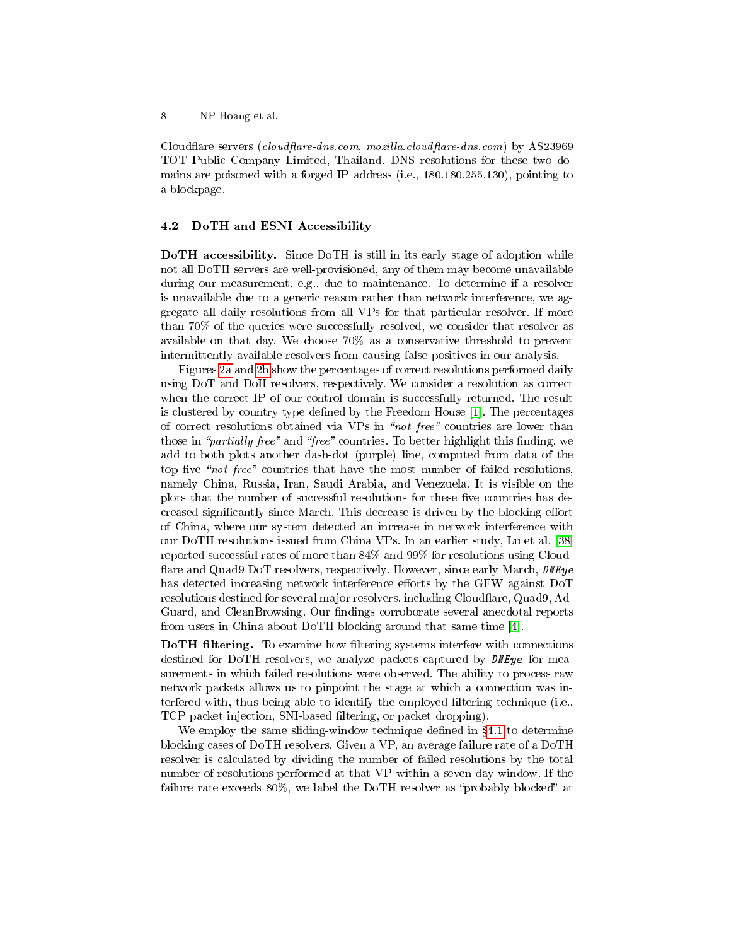Cloudflare servers (cloudflare-dns.com, mozilla.cloudflare-dns.com) by AS23969 TOT Public Company Limited, Thailand. DNS resolutions for these two domains are poisoned with a forged IP address (i.e., 180.180.255.130), pointing to a blockpage.

#### <span id="page-7-0"></span>4.2 DoTH and ESNI Accessibility

DoTH accessibility. Since DoTH is still in its early stage of adoption while not all DoTH servers are well-provisioned, any of them may become unavailable during our measurement, e.g., due to maintenance. To determine if a resolver is unavailable due to a generic reason rather than network interference, we aggregate all daily resolutions from all VPs for that particular resolver. If more than 70% of the queries were successfully resolved, we consider that resolver as available on that day. We choose 70% as a conservative threshold to prevent intermittently available resolvers from causing false positives in our analysis.

Figures [2a](#page-8-0) and [2b](#page-8-0) show the percentages of correct resolutions performed daily using DoT and DoH resolvers, respectively. We consider a resolution as correct when the correct IP of our control domain is successfully returned. The result is clustered by country type defined by the Freedom House [\[1\]](#page-13-19). The percentages of correct resolutions obtained via VPs in "not free" countries are lower than those in "partially free" and "free" countries. To better highlight this finding, we add to both plots another dash-dot (purple) line, computed from data of the top five "not free" countries that have the most number of failed resolutions, namely China, Russia, Iran, Saudi Arabia, and Venezuela. It is visible on the plots that the number of successful resolutions for these five countries has decreased significantly since March. This decrease is driven by the blocking effort of China, where our system detected an increase in network interference with our DoTH resolutions issued from China VPs. In an earlier study, Lu et al. [\[38\]](#page-14-15) reported successful rates of more than 84% and 99% for resolutions using Cloud flare and Quad9 DoT resolvers, respectively. However, since early March, DNEye has detected increasing network interference efforts by the GFW against DoT resolutions destined for several major resolvers, including Cloudflare, Quad9, Ad-Guard, and CleanBrowsing. Our findings corroborate several anecdotal reports from users in China about DoTH blocking around that same time [\[4\]](#page-13-28).

DoTH filtering. To examine how filtering systems interfere with connections destined for DoTH resolvers, we analyze packets captured by *DNEye* for measurements in which failed resolutions were observed. The ability to process raw network packets allows us to pinpoint the stage at which a connection was interfered with, thus being able to identify the employed filtering technique (i.e., TCP packet injection, SNI-based filtering, or packet dropping).

We employ the same sliding-window technique defined in  $\S 4.1$  $\S 4.1$  to determine blocking cases of DoTH resolvers. Given a VP, an average failure rate of a DoTH resolver is calculated by dividing the number of failed resolutions by the total number of resolutions performed at that VP within a seven-day window. If the failure rate exceeds  $80\%$ , we label the DoTH resolver as "probably blocked" at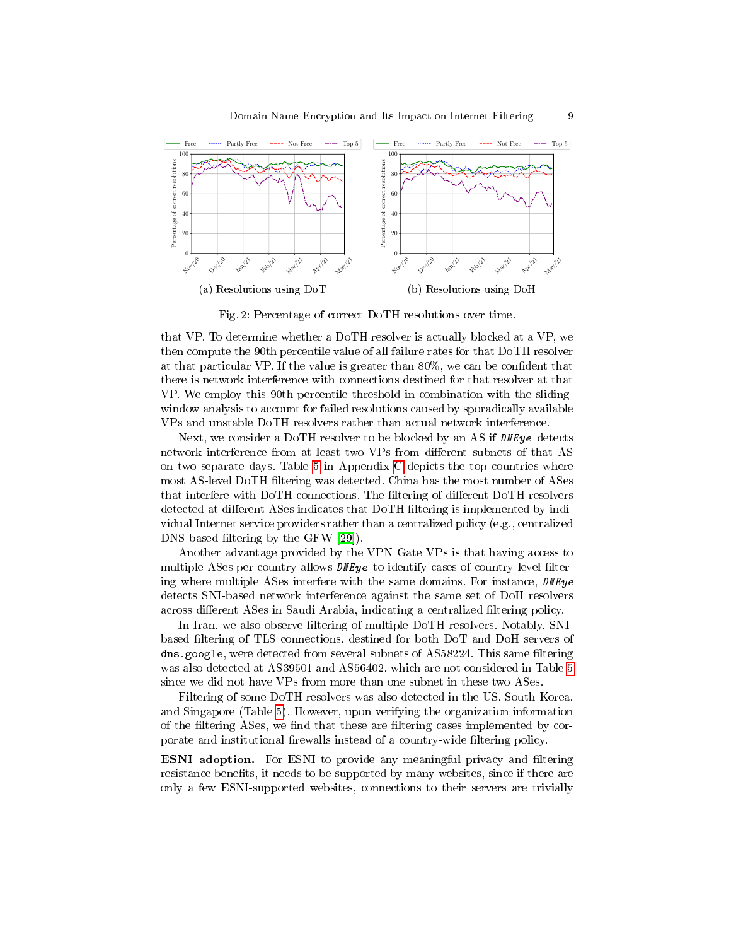<span id="page-8-0"></span>

Fig. 2: Percentage of correct DoTH resolutions over time.

that VP. To determine whether a DoTH resolver is actually blocked at a VP, we then compute the 90th percentile value of all failure rates for that DoTH resolver at that particular VP. If the value is greater than 80%, we can be condent that there is network interference with connections destined for that resolver at that VP. We employ this 90th percentile threshold in combination with the slidingwindow analysis to account for failed resolutions caused by sporadically available VPs and unstable DoTH resolvers rather than actual network interference.

Next, we consider a DoTH resolver to be blocked by an AS if  $D$ NE $\nu$ e detects network interference from at least two VPs from different subnets of that AS on two separate days. Table [5](#page-16-0) in Appendix [C](#page-15-1) depicts the top countries where most AS-level DoTH filtering was detected. China has the most number of ASes that interfere with DoTH connections. The filtering of different DoTH resolvers detected at different ASes indicates that DoTH filtering is implemented by individual Internet service providers rather than a centralized policy (e.g., centralized DNS-based filtering by the GFW [\[29\]](#page-13-0)).

Another advantage provided by the VPN Gate VPs is that having access to multiple ASes per country allows  $DFEye$  to identify cases of country-level filtering where multiple ASes interfere with the same domains. For instance, DNEye detects SNI-based network interference against the same set of DoH resolvers across different ASes in Saudi Arabia, indicating a centralized filtering policy.

In Iran, we also observe filtering of multiple DoTH resolvers. Notably, SNIbased filtering of TLS connections, destined for both DoT and DoH servers of dns.google, were detected from several subnets of AS58224. This same filtering was also detected at AS39501 and AS56402, which are not considered in Table [5](#page-16-0) since we did not have VPs from more than one subnet in these two ASes.

Filtering of some DoTH resolvers was also detected in the US, South Korea, and Singapore (Table [5\)](#page-16-0). However, upon verifying the organization information of the filtering ASes, we find that these are filtering cases implemented by corporate and institutional firewalls instead of a country-wide filtering policy.

**ESNI** adoption. For ESNI to provide any meaningful privacy and filtering resistance benefits, it needs to be supported by many websites, since if there are only a few ESNI-supported websites, connections to their servers are trivially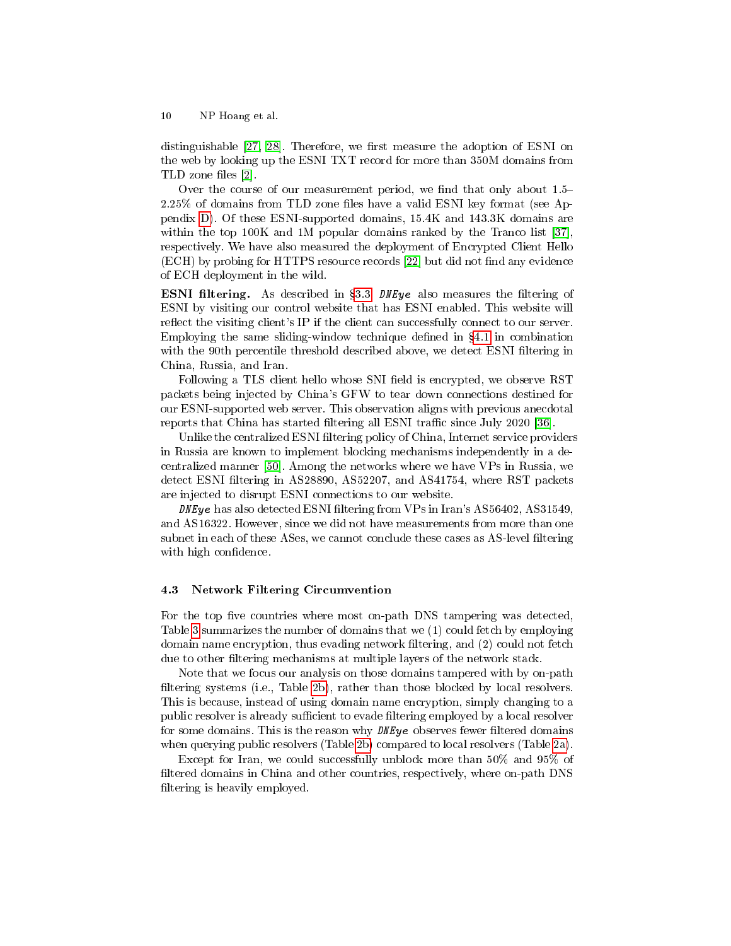distinguishable  $[27, 28]$  $[27, 28]$ . Therefore, we first measure the adoption of ESNI on the web by looking up the ESNI TXT record for more than 350M domains from TLD zone files  $[2]$ .

Over the course of our measurement period, we find that only about  $1.5 2.25\%$  of domains from TLD zone files have a valid ESNI key format (see Appendix [D\)](#page-15-2). Of these ESNI-supported domains, 15.4K and 143.3K domains are within the top 100K and 1M popular domains ranked by the Tranco list [\[37\]](#page-13-32), respectively. We have also measured the deployment of Encrypted Client Hello  $(ECH)$  by probing for HTTPS resource records [\[22\]](#page-13-18) but did not find any evidence of ECH deployment in the wild.

ESNI filtering. As described in §[3.3,](#page-4-1) DNEye also measures the filtering of ESNI by visiting our control website that has ESNI enabled. This website will reflect the visiting client's IP if the client can successfully connect to our server. Employing the same sliding-window technique defined in  $\S 4.1$  $\S 4.1$  in combination with the 90th percentile threshold described above, we detect ESNI filtering in China, Russia, and Iran.

Following a TLS client hello whose SNI field is encrypted, we observe RST packets being injected by China's GFW to tear down connections destined for our ESNI-supported web server. This observation aligns with previous anecdotal reports that China has started filtering all ESNI traffic since July 2020 [\[36\]](#page-13-6).

Unlike the centralized ESNI filtering policy of China, Internet service providers in Russia are known to implement blocking mechanisms independently in a decentralized manner [\[50\]](#page-14-16). Among the networks where we have VPs in Russia, we detect ESNI filtering in AS28890, AS52207, and AS41754, where RST packets are injected to disrupt ESNI connections to our website.

DNEye has also detected ESNI filtering from VPs in Iran's  $AS56402$ ,  $AS31549$ . and AS16322. However, since we did not have measurements from more than one subnet in each of these  $ASes$ , we cannot conclude these cases as  $AS$ -level filtering with high confidence.

#### <span id="page-9-0"></span>4.3 Network Filtering Circumvention

For the top five countries where most on-path DNS tampering was detected, Table [3](#page-10-0) summarizes the number of domains that we (1) could fetch by employing domain name encryption, thus evading network filtering, and (2) could not fetch due to other filtering mechanisms at multiple layers of the network stack.

Note that we focus our analysis on those domains tampered with by on-path filtering systems (i.e., Table [2b\)](#page-6-0), rather than those blocked by local resolvers. This is because, instead of using domain name encryption, simply changing to a public resolver is already sufficient to evade filtering employed by a local resolver for some domains. This is the reason why  $DNEye$  observes fewer filtered domains when querying public resolvers (Table [2b\)](#page-6-0) compared to local resolvers (Table [2a\)](#page-6-0).

Except for Iran, we could successfully unblock more than 50% and 95% of filtered domains in China and other countries, respectively, where on-path DNS filtering is heavily employed.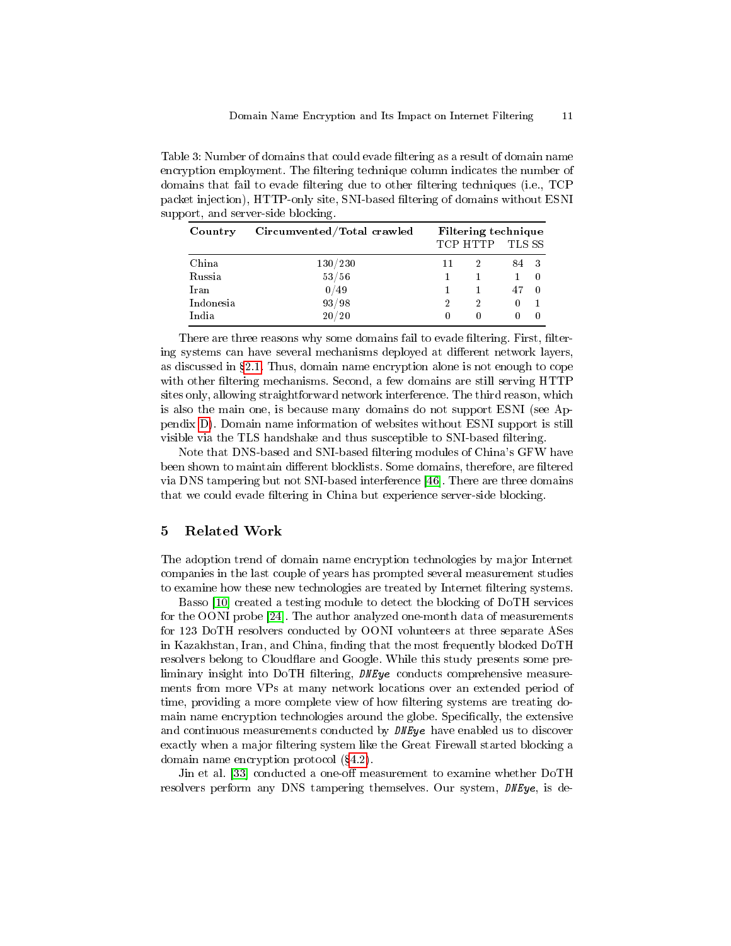<span id="page-10-0"></span>Table 3: Number of domains that could evade filtering as a result of domain name encryption employment. The filtering technique column indicates the number of domains that fail to evade filtering due to other filtering techniques (i.e., TCP packet injection), HTTP-only site, SNI-based ltering of domains without ESNI support, and server-side blocking.

| Country   | Circumvented/Total crawled | Filtering technique<br>TCP HTTP TLS SS |              |          |    |  |  |  |
|-----------|----------------------------|----------------------------------------|--------------|----------|----|--|--|--|
| China     | 130/230                    | 11                                     |              | 84 3     |    |  |  |  |
| Russia    | 53/56                      |                                        |              |          |    |  |  |  |
| Iran      | 0/49                       |                                        |              | 47       | -0 |  |  |  |
| Indonesia | 93/98                      | 2                                      | 2            | $\Omega$ |    |  |  |  |
| India     | 20/20                      | $\mathbf{0}$                           | $\mathbf{0}$ |          |    |  |  |  |

There are three reasons why some domains fail to evade filtering. First, filtering systems can have several mechanisms deployed at different network layers, as discussed in  $\S 2.1$ . Thus, domain name encryption alone is not enough to cope with other filtering mechanisms. Second, a few domains are still serving HTTP sites only, allowing straightforward network interference. The third reason, which is also the main one, is because many domains do not support ESNI (see Appendix [D\)](#page-15-2). Domain name information of websites without ESNI support is still visible via the TLS handshake and thus susceptible to SNI-based filtering.

Note that DNS-based and SNI-based filtering modules of China's GFW have been shown to maintain different blocklists. Some domains, therefore, are filtered via DNS tampering but not SNI-based interference [\[46\]](#page-14-4). There are three domains that we could evade filtering in China but experience server-side blocking.

# 5 Related Work

The adoption trend of domain name encryption technologies by major Internet companies in the last couple of years has prompted several measurement studies to examine how these new technologies are treated by Internet filtering systems.

Basso [\[10\]](#page-13-33) created a testing module to detect the blocking of DoTH services for the OONI probe [\[24\]](#page-13-23). The author analyzed one-month data of measurements for 123 DoTH resolvers conducted by OONI volunteers at three separate ASes in Kazakhstan, Iran, and China, finding that the most frequently blocked DoTH resolvers belong to Cloudflare and Google. While this study presents some preliminary insight into DoTH filtering,  $DNEye$  conducts comprehensive measurements from more VPs at many network locations over an extended period of time, providing a more complete view of how filtering systems are treating domain name encryption technologies around the globe. Specifically, the extensive and continuous measurements conducted by  $\textit{DNEye}$  have enabled us to discover exactly when a major filtering system like the Great Firewall started blocking a domain name encryption protocol  $(\S4.2)$  $(\S4.2)$ .

Jin et al. [\[33\]](#page-13-27) conducted a one-off measurement to examine whether DoTH resolvers perform any DNS tampering themselves. Our system, DNEye, is de-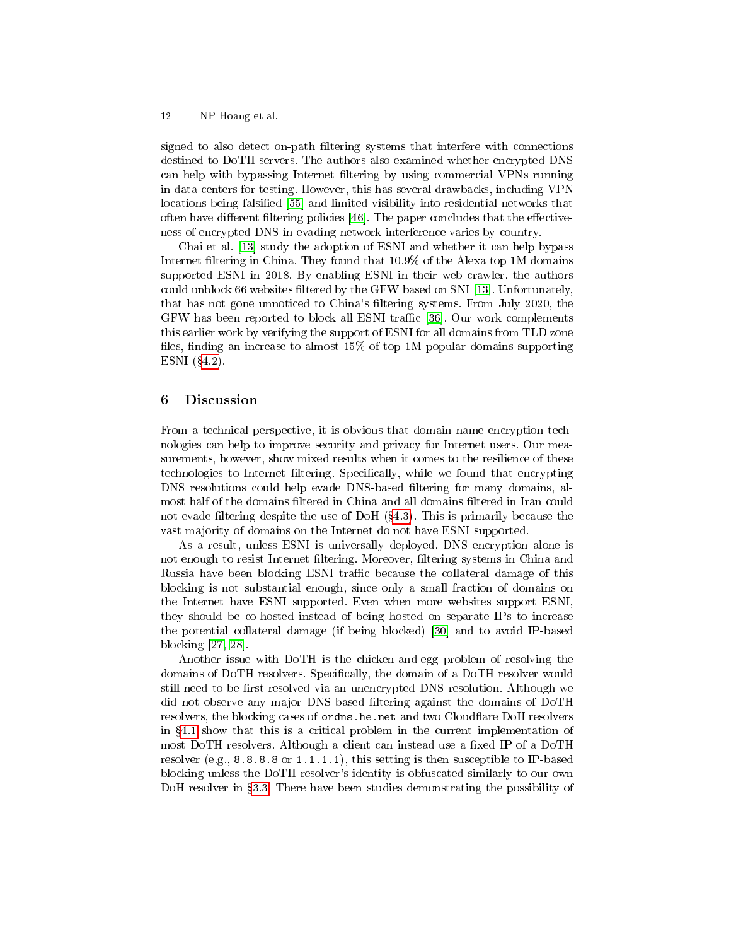signed to also detect on-path filtering systems that interfere with connections destined to DoTH servers. The authors also examined whether encrypted DNS can help with bypassing Internet filtering by using commercial VPNs running in data centers for testing. However, this has several drawbacks, including VPN locations being falsified [\[55\]](#page-14-17) and limited visibility into residential networks that often have different filtering policies  $[46]$ . The paper concludes that the effectiveness of encrypted DNS in evading network interference varies by country.

Chai et al. [\[13\]](#page-13-11) study the adoption of ESNI and whether it can help bypass Internet filtering in China. They found that  $10.9\%$  of the Alexa top 1M domains supported ESNI in 2018. By enabling ESNI in their web crawler, the authors could unblock 66 websites filtered by the GFW based on SNI [\[13\]](#page-13-11). Unfortunately, that has not gone unnoticed to China's filtering systems. From July 2020, the GFW has been reported to block all ESNI traffic [\[36\]](#page-13-6). Our work complements this earlier work by verifying the support of ESNI for all domains from TLD zone files, finding an increase to almost  $15\%$  of top 1M popular domains supporting ESNI  $(\S4.2)$  $(\S4.2)$ .

### 6 Discussion

From a technical perspective, it is obvious that domain name encryption technologies can help to improve security and privacy for Internet users. Our measurements, however, show mixed results when it comes to the resilience of these technologies to Internet filtering. Specifically, while we found that encrypting DNS resolutions could help evade DNS-based filtering for many domains, almost half of the domains filtered in China and all domains filtered in Iran could not evade filtering despite the use of DoH  $(§4.3)$  $(§4.3)$ . This is primarily because the vast majority of domains on the Internet do not have ESNI supported.

As a result, unless ESNI is universally deployed, DNS encryption alone is not enough to resist Internet filtering. Moreover, filtering systems in China and Russia have been blocking ESNI traffic because the collateral damage of this blocking is not substantial enough, since only a small fraction of domains on the Internet have ESNI supported. Even when more websites support ESNI, they should be co-hosted instead of being hosted on separate IPs to increase the potential collateral damage (if being blocked) [\[30\]](#page-13-34) and to avoid IP-based blocking [\[27,](#page-13-29) [28\]](#page-13-30).

Another issue with DoTH is the chicken-and-egg problem of resolving the domains of DoTH resolvers. Specifically, the domain of a DoTH resolver would still need to be first resolved via an unencrypted DNS resolution. Although we did not observe any major DNS-based filtering against the domains of DoTH resolvers, the blocking cases of ordns.he.net and two Cloudflare DoH resolvers in  $\S 4.1$  $\S 4.1$  show that this is a critical problem in the current implementation of most DoTH resolvers. Although a client can instead use a fixed IP of a DoTH resolver (e.g.,  $8.8.8.8$  or  $1.1.1.1$ ), this setting is then susceptible to IP-based blocking unless the DoTH resolver's identity is obfuscated similarly to our own DoH resolver in §[3.3.](#page-4-1) There have been studies demonstrating the possibility of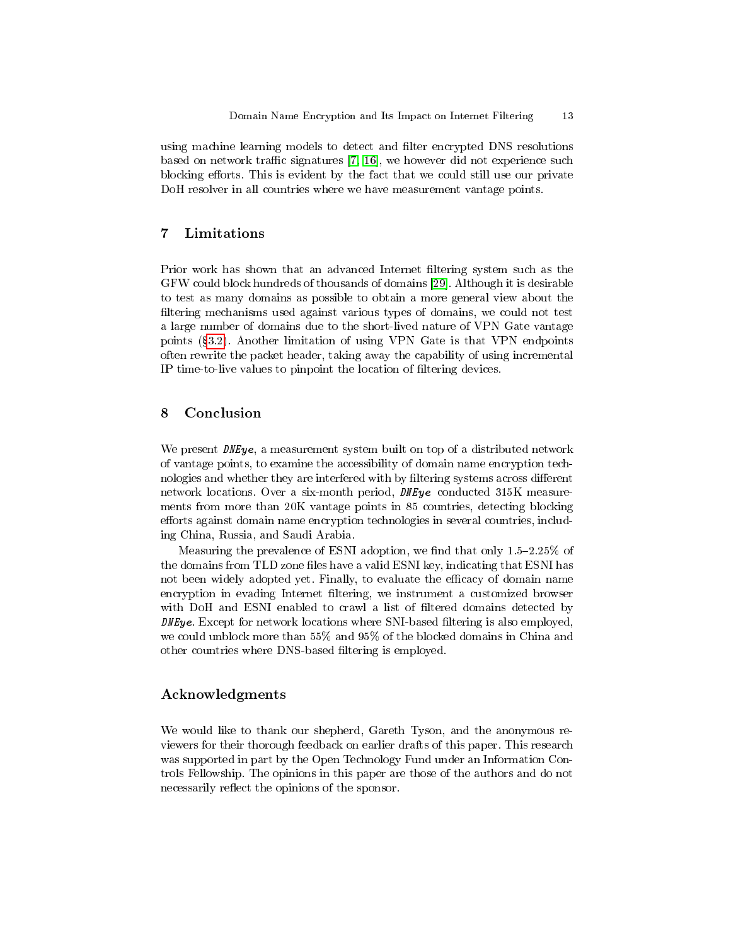using machine learning models to detect and filter encrypted DNS resolutions based on network traffic signatures  $[7, 16]$  $[7, 16]$ , we however did not experience such blocking efforts. This is evident by the fact that we could still use our private DoH resolver in all countries where we have measurement vantage points.

# 7 Limitations

Prior work has shown that an advanced Internet filtering system such as the GFW could block hundreds of thousands of domains [\[29\]](#page-13-0). Although it is desirable to test as many domains as possible to obtain a more general view about the filtering mechanisms used against various types of domains, we could not test a large number of domains due to the short-lived nature of VPN Gate vantage points ([3.2\)](#page-4-2). Another limitation of using VPN Gate is that VPN endpoints often rewrite the packet header, taking away the capability of using incremental IP time-to-live values to pinpoint the location of filtering devices.

# 8 Conclusion

We present  $DNEye$ , a measurement system built on top of a distributed network of vantage points, to examine the accessibility of domain name encryption technologies and whether they are interfered with by filtering systems across different network locations. Over a six-month period, DNEye conducted 315K measurements from more than 20K vantage points in 85 countries, detecting blocking efforts against domain name encryption technologies in several countries, including China, Russia, and Saudi Arabia.

Measuring the prevalence of ESNI adoption, we find that only  $1.5-2.25\%$  of the domains from TLD zone files have a valid ESNI key, indicating that ESNI has not been widely adopted yet. Finally, to evaluate the efficacy of domain name encryption in evading Internet filtering, we instrument a customized browser with DoH and ESNI enabled to crawl a list of filtered domains detected by  $D$ *NEye*. Except for network locations where SNI-based filtering is also employed, we could unblock more than 55% and 95% of the blocked domains in China and other countries where DNS-based filtering is employed.

# Acknowledgments

We would like to thank our shepherd, Gareth Tyson, and the anonymous reviewers for their thorough feedback on earlier drafts of this paper. This research was supported in part by the Open Technology Fund under an Information Controls Fellowship. The opinions in this paper are those of the authors and do not necessarily reflect the opinions of the sponsor.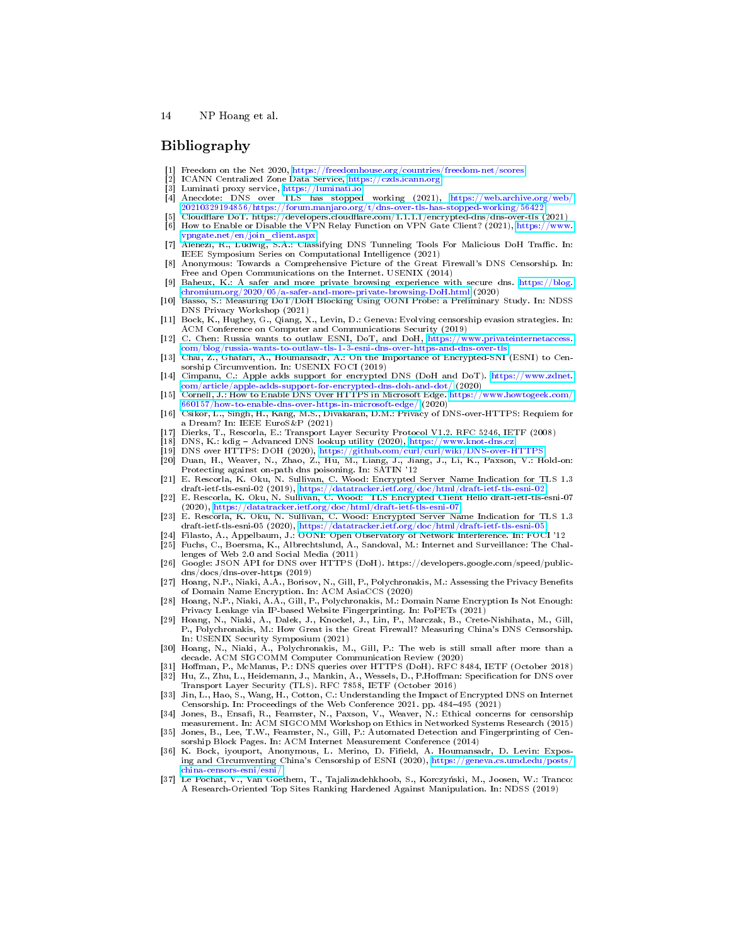### Bibliography

- <span id="page-13-19"></span>[1] Freedom on the Net 2020, <https://freedomhouse.org/countries/freedom-net/scores>
- <span id="page-13-31"></span>[2] ICANN Centralized Zone Data Service, <https://czds.icann.org>
- <span id="page-13-21"></span>Luminati proxy service, <https://luminati.io>
- <span id="page-13-28"></span>Anecdote: DNS over TLS has stopped working (2021), [https://web.archive.org/web/](https://web.archive.org/web/20210329194856/https://forum.manjaro.org/t/dns-over-tls-has-stopped-working/56422) [20210329194856/https://forum.manjaro.org/t/dns-over-tls-has-stopped-working/56422](https://web.archive.org/web/20210329194856/https://forum.manjaro.org/t/dns-over-tls-has-stopped-working/56422)
- <span id="page-13-22"></span><span id="page-13-13"></span>[5] Cloudflare DoT. https://developers.cloudflare.com/1.1.1.1/encrypted-dns/dns-over-tls (2021)<br>[6] How to Enable or Disable the VPN Relay Function on VPN Gate Client? (2021), https://www. [6] How to Enable or Disable the VPN Relay Function on VPN Gate Client? (2021), [https://www.](https://www.vpngate.net/en/join_client.aspx)
- <span id="page-13-35"></span>[vpngate.net/en/join\\_client.aspx](https://www.vpngate.net/en/join_client.aspx) [7] Alenezi, R., Ludwig, S.A.: Classifying DNS Tunneling Tools For Malicious DoH Traffic. In:
- <span id="page-13-8"></span>IEEE Symposium Series on Computational Intelligence (2021) [8] Anonymous: Towards a Comprehensive Picture of the Great Firewall's DNS Censorship. In:
- <span id="page-13-14"></span>Free and Open Communications on the Internet. USENIX (2014) [9] Baheux, K.: A safer and more private browsing experience with secure dns. [https://blog.](https://blog.chromium.org/2020/05/a-safer-and-more-private-browsing-DoH.html)
- <span id="page-13-33"></span>[chromium.org/2020/05/a-safer-and-more-private-browsing-DoH.html](https://blog.chromium.org/2020/05/a-safer-and-more-private-browsing-DoH.html) (2020) [10] Basso, S.: Measuring DoT/DoH Blocking Using OONI Probe: a Preliminary Study. In: NDSS DNS Privacy Workshop (2021)
- <span id="page-13-9"></span>[11] Bock, K., Hughey, G., Qiang, X., Levin, D.: Geneva: Evolving censorship evasion strategies. In: ACM Conference on Computer and Communications Security (2019)
- <span id="page-13-7"></span>[12] C. Chen: Russia wants to outlaw ESNI, DoT, and DoH, [https://www.privateinternetaccess.](https://www.privateinternetaccess.com/blog/russia-wants-to-outlaw-tls-1-3-esni-dns-over-https-and-dns-over-tls)  $\mathrm{com/blog/r}$ ussia-wants-to-outlaw-tls-1-3-esni-dns-over-https-and-dns-over-tls
- <span id="page-13-11"></span>[13] Chai, Z., Ghafari, A., Houmansadr, A.: On the Importance of Encrypted-SNI (ESNI) to Censorship Circumvention. In: USENIX FOCI (2019)
- <span id="page-13-15"></span>[14] Cimpanu, C.: Apple adds support for encrypted DNS (DoH and DoT). [https://www.zdnet.](https://www.zdnet.com/article/apple-adds-support-for-encrypted-dns-doh-and-dot/)  $\mathrm{com}/\mathrm{article}/\mathrm{apple}\text{-} \mathrm{adds}\text{-} \mathrm{supp}\, \mathrm{ort}\text{-} \mathrm{for}\text{-}\mathrm{ency}\, \mathrm{pt}\, \mathrm{ed}\text{-}\mathrm{d}\mathrm{ns}\text{-}\mathrm{d}\mathrm{oh}\text{-} \mathrm{and}\text{-}\mathrm{dot}/\ (2020)$
- <span id="page-13-16"></span>[15] Cornell, J.: How to Enable DNS Over HTTPS in Microsoft Edge. [https://www.howtogeek.com/](https://www.howtogeek.com/660157/how-to-enable-dns-over-https-in-microsoft-edge/) [660157/how-to-enable-dns-over-https-in-microsoft-edge/](https://www.howtogeek.com/660157/how-to-enable-dns-over-https-in-microsoft-edge/) (2020)
- <span id="page-13-36"></span>[16] Csikor, L., Singh, H., Kang, M.S., Divakaran, D.M.: Privacy of DNS-over-HTTPS: Requiem for a Dream? In: IEEE EuroS&P (2021)
- <span id="page-13-1"></span>[17] Dierks, T., Rescorla, E.: Transport Layer Security Protocol V1.2. RFC 5246, IETF (2008)
- <span id="page-13-25"></span>DNS, K.: kdig - Advanced DNS lookup utility (2020), <https://www.knot-dns.cz>
- <span id="page-13-24"></span>[19] DNS over HTTPS: DOH (2020), <https://github.com/curl/curl/wiki/DNS-over-HTTPS>
- <span id="page-13-26"></span>[20] Duan, H., Weaver, N., Zhao, Z., Hu, M., Liang, J., Jiang, J., Li, K., Paxson, V.: Hold-on: Protecting against on-path dns poisoning. In: SATIN '12
- <span id="page-13-17"></span>[21] E. Rescorla, K. Oku, N. Sullivan, C. Wood: Encrypted Server Name Indication for TLS 1.3 draft-ietf-tls-esni-02 (2019), <https://datatracker.ietf.org/doc/html/draft-ietf-tls-esni-02>
- <span id="page-13-18"></span>[22] E. Rescorla, K. Oku, N. Sullivan, C. Wood: TLS Encrypted Client Hello draft-ietf-tls-esni-07  $(2020)$ , <https://datatracker.ietf.org/doc/html/draft-ietf-tls-esni-07>
- <span id="page-13-5"></span>[23] E. Rescorla, K. Oku, N. Sullivan, C. Wood: Encrypted Server Name Indication for TLS 1.3 draft-ietf-tls-esni-05 (2020), <https://datatracker.ietf.org/doc/html/draft-ietf-tls-esni-05>
- <span id="page-13-23"></span>[24] Filasto, A., Appelbaum, J.: OONI: Open Observatory of Network Interference. In: FOCI '12
- <span id="page-13-2"></span>[25] Fuchs, C., Boersma, K., Albrechtslund, A., Sandoval, M.: Internet and Surveillance: The Challenges of Web 2.0 and Social Media (2011)
- <span id="page-13-12"></span>[26] Google: JSON API for DNS over HTTPS (DoH). https://developers.google.com/speed/publicdns/docs/dns-over-https (2019)
- <span id="page-13-29"></span>[27] Hoang, N.P., Niaki, A.A., Borisov, N., Gill, P., Polychronakis, M.: Assessing the Privacy Benets of Domain Name Encryption. In: ACM AsiaCCS (2020)
- <span id="page-13-30"></span>[28] Hoang, N.P., Niaki, A.A., Gill, P., Polychronakis, M.: Domain Name Encryption Is Not Enough: Privacy Leakage via IP-based Website Fingerprinting. In: PoPETs (2021)
- <span id="page-13-0"></span>[29] Hoang, N., Niaki, A., Dalek, J., Knockel, J., Lin, P., Marczak, B., Crete-Nishihata, M., Gill, P., Polychronakis, M.: How Great is the Great Firewall? Measuring China's DNS Censorship. In: USENIX Security Symposium (2021)
- <span id="page-13-34"></span>[30] Hoang, N., Niaki, A., Polychronakis, M., Gill, P.: The web is still small after more than a decade. ACM SIGCOMM Computer Communication Review (2020)
- <span id="page-13-4"></span><span id="page-13-3"></span>Hoffman, P., McManus, P.: DNS queries over HTTPS (DoH). RFC 8484, IETF (October 2018) [32] Hu, Z., Zhu, L., Heidemann, J., Mankin, A., Wessels, D., P.Hoffman: Specification for DNS over<br>Transport Layer Security (TLS). RFC 7858, IETF (October 2016)
- <span id="page-13-27"></span>[33] Jin, L., Hao, S., Wang, H., Cotton, C.: Understanding the Impact of Encrypted DNS on Internet<br>Censorship. In: Proceedings of the Web Conference 2021. pp. 484-495 (2021)
- <span id="page-13-20"></span>[34] Jones, B., Ensafi, R., Feamster, N., Paxson, V., Weaver, N.: Ethical concerns for censorship measurement. In: ACM SIGCOMM Workshop on Ethics in Networked Systems Research (2015) [35] Jones, B., Lee, T.W., Feamster, N., Gill, P.: Automated Detection and Fingerprinting of Cen-
- <span id="page-13-10"></span>sorship Block Pages. In: ACM Internet Measurement Conference (2014)
- <span id="page-13-6"></span>[36] K. Bock, iyouport, Anonymous, L. Merino, D. Field, A. Houmansadr, D. Levin: Expos-ing and Circumventing China's Censorship of ESNI (2020), [https://geneva.cs.umd.edu/posts/](https://geneva.cs.umd.edu/posts/china-censors-esni/esni/) [china-censors-esni/esni/](https://geneva.cs.umd.edu/posts/china-censors-esni/esni/)
- <span id="page-13-32"></span>[37] Le Pochat, V., Van Goethem, T., Tajalizadehkhoob, S., Korczyński, M., Joosen, W.: Tranco: A Research-Oriented Top Sites Ranking Hardened Against Manipulation. In: NDSS (2019)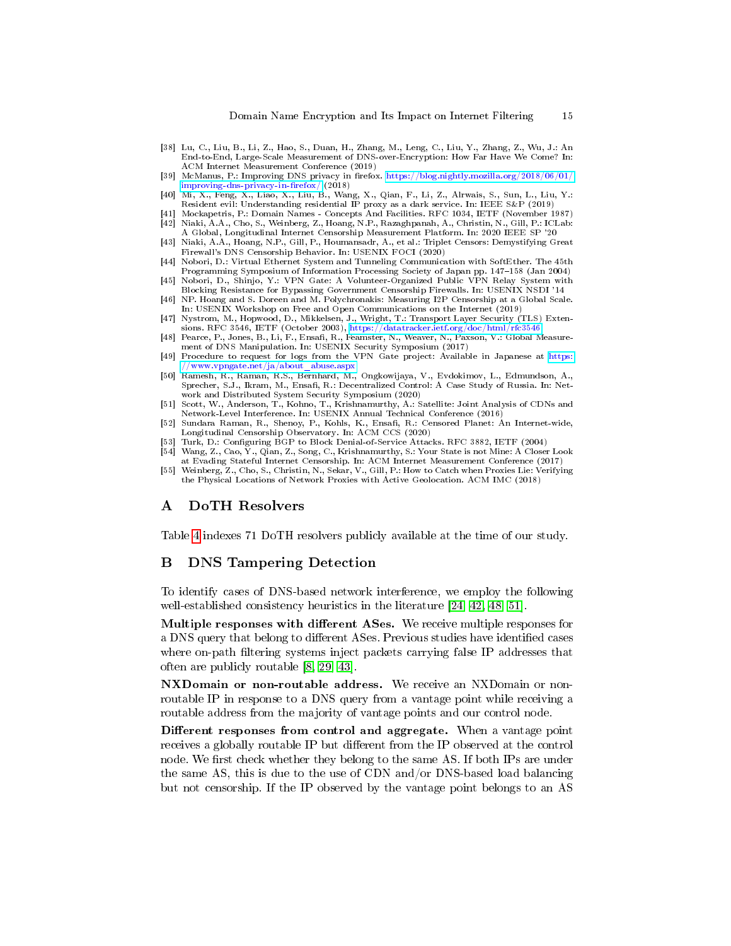- <span id="page-14-15"></span>[38] Lu, C., Liu, B., Li, Z., Hao, S., Duan, H., Zhang, M., Leng, C., Liu, Y., Zhang, Z., Wu, J.: An End-to-End, Large-Scale Measurement of DNS-over-Encryption: How Far Have We Come? In: ACM Internet Measurement Conference (2019)
- <span id="page-14-9"></span>[39] McManus, P.: Improving DNS privacy in firefox. [https://blog.nightly.mozilla.org/2018/06/01/](https://blog.nightly.mozilla.org/2018/06/01/improving-dns-privacy-in-firefox/) improving-dns-privacy-in-firefox/ (2018)
- <span id="page-14-12"></span>[40] Mi, X., Feng, X., Liao, X., Liu, B., Wang, X., Qian, F., Li, Z., Alrwais, S., Sun, L., Liu, Y.: Resident evil: Understanding residential IP proxy as a dark service. In: IEEE S&P (2019)
- <span id="page-14-7"></span><span id="page-14-0"></span>[41] Mockapetris, P.: Domain Names - Concepts And Facilities. RFC 1034, IETF (November 1987) [42] Niaki, A.A., Cho, S., Weinberg, Z., Hoang, N.P., Razaghpanah, A., Christin, N., Gill, P.: ICLab:
- <span id="page-14-1"></span>A Global, Longitudinal Internet Censorship Measurement Platform. In: 2020 IEEE SP '20 [43] Niaki, A.A., Hoang, N.P., Gill, P., Houmansadr, A., et al.: Triplet Censors: Demystifying Great Firewall's DNS Censorship Behavior. In: USENIX FOCI (2020)
- <span id="page-14-11"></span>[44] Nobori, D.: Virtual Ethernet System and Tunneling Communication with SoftEther. The 45th Programming Symposium of Information Processing Society of Japan pp. 147–158 (Jan 2004)
- <span id="page-14-10"></span>[45] Nobori, D., Shinjo, Y.: VPN Gate: A Volunteer-Organized Public VPN Relay System with Blocking Resistance for Bypassing Government Censorship Firewalls. In: USENIX NSDI '14
- <span id="page-14-4"></span>[46] NP. Hoang and S. Doreen and M. Polychronakis: Measuring I2P Censorship at a Global Scale. In: USENIX Workshop on Free and Open Communications on the Internet (2019)
- <span id="page-14-3"></span>[47] Nystrom, M., Hopwood, D., Mikkelsen, J., Wright, T.: Transport Layer Security (TLS) Extensions. RFC 3546, IETF (October 2003), <https://datatracker.ietf.org/doc/html/rfc3546>
- <span id="page-14-2"></span>[48] Pearce, P., Jones, B., Li, F., Ensafi, R., Feamster, N., Weaver, N., Paxson, V.: Global Measurement of DNS Manipulation. In: USENIX Security Symposium (2017)
- <span id="page-14-13"></span>[49] Procedure to request for logs from the VPN Gate project: Available in Japanese at [https:](https://www.vpngate.net/ja/about_abuse.aspx) [//www.vpngate.net/ja/about\\_abuse.aspx](https://www.vpngate.net/ja/about_abuse.aspx)
- <span id="page-14-16"></span>[50] Ramesh, R., Raman, R.S., Bernhard, M., Ongkowijaya, V., Evdokimov, L., Edmundson, A., Sprecher, S.J., Ikram, M., Ensafi, R.: Decentralized Control: A Case Study of Russia. In: Network and Distributed System Security Symposium (2020)
- <span id="page-14-18"></span>[51] Scott, W., Anderson, T., Kohno, T., Krishnamurthy, A.: Satellite: Joint Analysis of CDNs and Network-Level Interference. In: USENIX Annual Technical Conference (2016)
- <span id="page-14-8"></span>[52] Sundara Raman, R., Shenoy, P., Kohls, K., Ensafi, R.: Censored Planet: An Internet-wide, Longitudinal Censorship Observatory. In: ACM CCS (2020)
- <span id="page-14-6"></span>Turk, D.: Configuring BGP to Block Denial-of-Service Attacks. RFC 3882, IETF (2004)
- <span id="page-14-5"></span>[54] Wang, Z., Cao, Y., Qian, Z., Song, C., Krishnamurthy, S.: Your State is not Mine: A Closer Look at Evading Stateful Internet Censorship. In: ACM Internet Measurement Conference (2017)
- <span id="page-14-17"></span>[55] Weinberg, Z., Cho, S., Christin, N., Sekar, V., Gill, P.: How to Catch when Proxies Lie: Verifying the Physical Locations of Network Proxies with Active Geolocation. ACM IMC (2018)

# A DoTH Resolvers

Table [4](#page-15-0) indexes 71 DoTH resolvers publicly available at the time of our study.

# <span id="page-14-14"></span>B DNS Tampering Detection

To identify cases of DNS-based network interference, we employ the following well-established consistency heuristics in the literature [\[24,](#page-13-23) [42,](#page-14-7) [48,](#page-14-2) [51\]](#page-14-18).

Multiple responses with different ASes. We receive multiple responses for a DNS query that belong to different ASes. Previous studies have identified cases where on-path filtering systems inject packets carrying false IP addresses that often are publicly routable [\[8,](#page-13-8) [29,](#page-13-0) [43\]](#page-14-1).

NXDomain or non-routable address. We receive an NXDomain or nonroutable IP in response to a DNS query from a vantage point while receiving a routable address from the majority of vantage points and our control node.

Different responses from control and aggregate. When a vantage point receives a globally routable IP but different from the IP observed at the control node. We first check whether they belong to the same AS. If both IPs are under the same AS, this is due to the use of CDN and/or DNS-based load balancing but not censorship. If the IP observed by the vantage point belongs to an AS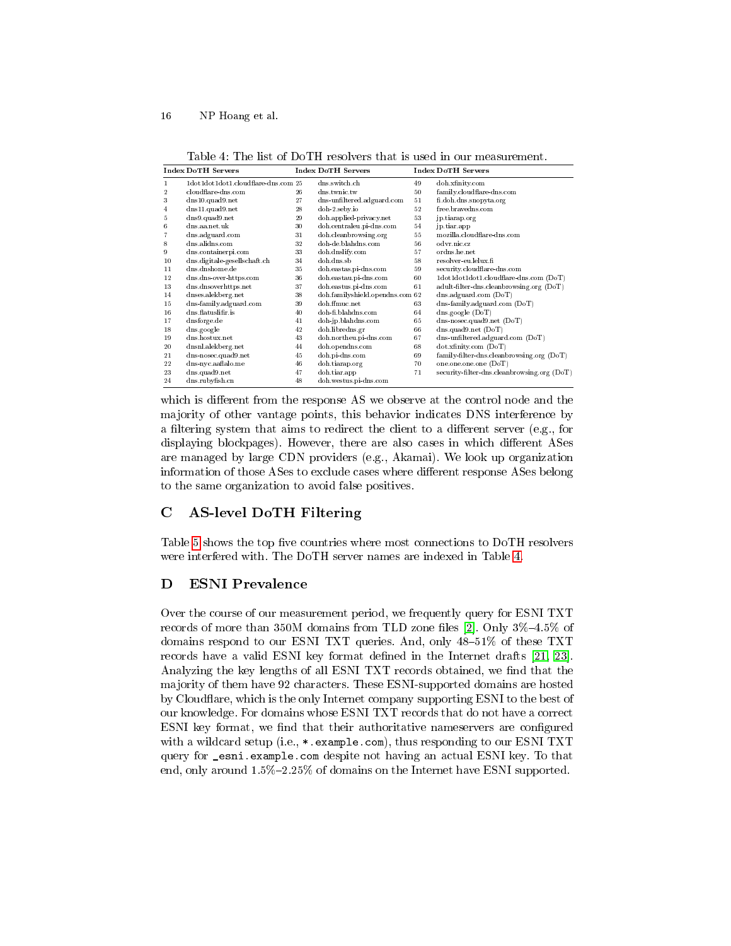<span id="page-15-0"></span>Table 4: The list of DoTH resolvers that is used in our measurement.

|                | Index DoTH Servers                  |    | Index DoTH Servers              |    | Index DoTH Servers                          |
|----------------|-------------------------------------|----|---------------------------------|----|---------------------------------------------|
| $\mathbf{1}$   | 1dot1dot1dot1.cloudflare-dns.com 25 |    | dns.switch.ch                   | 49 | doh.xfinity.com                             |
| $\overline{2}$ | cloudflare-dns.com                  | 26 | dns.twnic.tw                    | 50 | family.cloudflare-dns.com                   |
| 3              | $dns10.$ quad $9.$ net              | 27 | dns-unfiltered.adguard.com      | 51 | fi.doh.dns.snopyta.org                      |
| 4              | dns11.quad9.net                     | 28 | doh-2 seby.io                   | 52 | free.brayedns.com                           |
| 5              | $d$ ns9. quad9. net                 | 29 | doh.applied-privacy.net         | 53 | jp.tiarap.org                               |
| 6              | dns.aa.net.uk                       | 30 | doh.centraleu.pi-dns.com        | 54 | jp.tiar.app                                 |
| 7              | dns. adguard.com                    | 31 | doh.cleanbrowsing.org           | 55 | mozilla.cloudflare-dns.com                  |
| 8              | dns. ali dns. com                   | 32 | doh-de.blahdns.com              | 56 | o dvr.nic.cz                                |
| 9              | dns.containerpi.com                 | 33 | doh. dnslify.com                | 57 | ordns.he.net                                |
| 10             | dns. digitale-gesellsch aft. ch     | 34 | doh.dns.sb                      | 58 | resolver-eu.lelux.fi                        |
| 11             | dns.dnshome.de                      | 35 | doh.eastas.pi-dns.com           | 59 | security.cloudflare-dns.com                 |
| 12             | dns. dns-over-https.com             | 36 | doh.east au.pi-dns.com          | 60 | 1dot1dot1dot1.cloudflare-dns.com (DoT)      |
| 13             | dns.dnsoverhttps.net                | 37 | doh.eastus.pi-dns.com           | 61 | adult-filter-dns.cleanbrowsing.org (DoT)    |
| 14             | dnses.alekberg.net                  | 38 | doh.familyshield.opendns.com 62 |    | dns. adguard.com (DoT)                      |
| 15             | dns-family.adguard.com              | 39 | doh.ffmuc.net                   | 63 | dns-family.adguard.com (DoT)                |
| 16             | dns.flatuslifir.is                  | 40 | doh-fi.blahdns.com              | 64 | dns.google (DoT)                            |
| 17             | dnsforge.de                         | 41 | doh-jp.blahdns.com              | 65 | dns-nosec.quad9.net $(DoT)$                 |
| 18             | dns.google                          | 42 | doh.libredns.gr                 | 66 | dns.quad9.net $(DoT)$                       |
| 19             | dns.hostux.net                      | 43 | doh.northeu.pi-dns.com          | 67 | $d$ ns-unfiltered.adguard.com (DoT)         |
| 20             | dnsnl.alekberg.net                  | 44 | doh.opendns.com                 | 68 | dot.xfinity.com (DoT)                       |
| 21             | dns-nosec.quad9.net                 | 45 | doh.pi-dns.com                  | 69 | family-filter-dns.cleanbrowsing.org (DoT)   |
| 22             | dns-nyc.aaflalo.me                  | 46 | doh.tiarap.org                  | 70 | one.one.one.one (DoT)                       |
| 23             | dns.quad9.net                       | 47 | doh.tiar.app                    | 71 | security-filter-dns.cleanbrowsing.org (DoT) |
| 24             | dns.rubyfish.cn                     | 48 | doh.westus.pi-dns.com           |    |                                             |

which is different from the response AS we observe at the control node and the majority of other vantage points, this behavior indicates DNS interference by a filtering system that aims to redirect the client to a different server (e.g., for displaying blockpages). However, there are also cases in which different ASes are managed by large CDN providers (e.g., Akamai). We look up organization information of those ASes to exclude cases where different response ASes belong to the same organization to avoid false positives.

# <span id="page-15-1"></span>C AS-level DoTH Filtering

Table [5](#page-16-0) shows the top five countries where most connections to DoTH resolvers were interfered with. The DoTH server names are indexed in Table [4.](#page-15-0)

# <span id="page-15-2"></span>D ESNI Prevalence

Over the course of our measurement period, we frequently query for ESNI TXT records of more than 350M domains from TLD zone files [\[2\]](#page-13-31). Only  $3\%$ -4.5% of domains respond to our ESNI TXT queries. And, only 48-51% of these TXT records have a valid ESNI key format defined in the Internet drafts  $[21, 23]$  $[21, 23]$ . Analyzing the key lengths of all ESNI TXT records obtained, we find that the majority of them have 92 characters. These ESNI-supported domains are hosted by Cloudflare, which is the only Internet company supporting ESNI to the best of our knowledge. For domains whose ESNI TXT records that do not have a correct ESNI key format, we find that their authoritative nameservers are configured with a wildcard setup (i.e., \*.example.com), thus responding to our ESNI TXT query for \_esni.example.com despite not having an actual ESNI key. To that end, only around  $1.5\%$  -2.25% of domains on the Internet have ESNI supported.